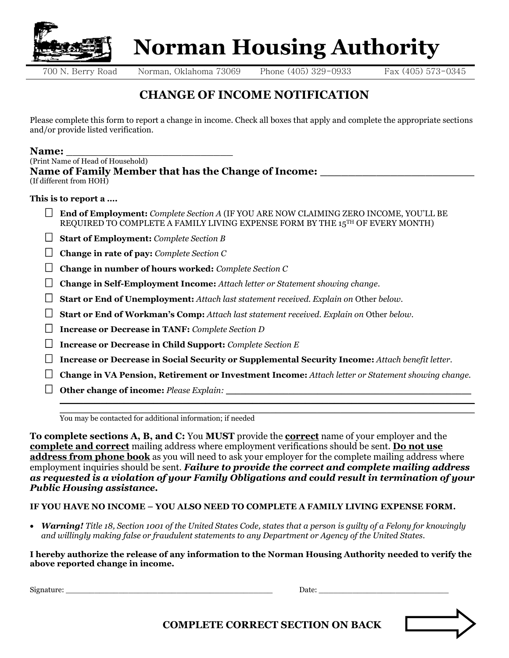

**THE ROLLEAR REPAIRS AND REPAIRS AND REPAIR ON A PHONO NORMAN NO NORMAL REPAIRING A PHONO NO NORMAL REPAIRING A PHONO NO NORMAL REPAIRING A PHONO NO NORMAL REPAIRING A PHONO NORMAL REPAIRING A PHONO NO NORMAL REPAIRING A P Norman Housing Authority**

## **CHANGE OF INCOME NOTIFICATION**

Please complete this form to report a change in income. Check all boxes that apply and complete the appropriate sections and/or provide listed verification.

## Name:

| (Print Name of Head of Household)                    |  |
|------------------------------------------------------|--|
| Name of Family Member that has the Change of Income: |  |
| (If different from HOH)                              |  |

## **This is to report a ….**

- **End of Employment:** *Complete Section A* (IF YOU ARE NOW CLAIMING ZERO INCOME, YOU'LL BE REQUIRED TO COMPLETE A FAMILY LIVING EXPENSE FORM BY THE 15<sup>TH</sup> OF EVERY MONTH)
- **Start of Employment:** *Complete Section B*
- **Change in rate of pay:** *Complete Section C*
- **Change in number of hours worked:** *Complete Section C*
- **Change in Self-Employment Income:** *Attach letter or Statement showing change.*
- **Start or End of Unemployment:** *Attach last statement received. Explain on* Other *below.*
- **Start or End of Workman's Comp:** *Attach last statement received. Explain on* Other *below.*
- **Increase or Decrease in TANF:** *Complete Section D*
- **Increase or Decrease in Child Support:** *Complete Section E*
- **Increase or Decrease in Social Security or Supplemental Security Income:** *Attach benefit letter.*
- **Change in VA Pension, Retirement or Investment Income:** *Attach letter or Statement showing change.*

**\_\_\_\_\_\_\_\_\_\_\_\_\_\_\_\_\_\_\_\_\_\_\_\_\_\_\_\_\_\_\_\_\_\_\_\_\_\_\_\_\_\_\_\_\_\_\_\_\_\_\_\_\_\_\_\_\_\_\_\_\_\_\_\_\_\_\_\_\_\_\_**

**Other change of income:** *Please Explain:* \_\_\_\_\_\_\_\_\_\_\_\_\_\_\_\_\_\_\_\_\_\_\_\_\_\_\_\_\_\_\_\_\_\_\_\_\_\_\_\_\_\_\_\_\_\_\_\_\_\_\_

**\_\_\_\_\_\_\_\_\_\_\_\_\_\_\_\_\_\_\_\_\_\_\_\_\_\_\_\_\_\_\_\_\_\_\_\_\_\_\_\_\_\_\_\_\_\_\_\_\_\_\_\_\_\_\_\_\_\_\_\_\_\_\_\_\_\_\_\_\_\_\_** You may be contacted for additional information; if needed

**To complete sections A, B, and C:** You **MUST** provide the **correct** name of your employer and the **complete and correct** mailing address where employment verifications should be sent. **Do not use address from phone book** as you will need to ask your employer for the complete mailing address where employment inquiries should be sent. *Failure to provide the correct and complete mailing address as requested is a violation of your Family Obligations and could result in termination of your Public Housing assistance.*

## **IF YOU HAVE NO INCOME – YOU ALSO NEED TO COMPLETE A FAMILY LIVING EXPENSE FORM.**

• *Warning! Title 18, Section 1001 of the United States Code, states that a person is guilty of a Felony for knowingly and willingly making false or fraudulent statements to any Department or Agency of the United States.*

**I hereby authorize the release of any information to the Norman Housing Authority needed to verify the above reported change in income.**

Signature: \_\_\_\_\_\_\_\_\_\_\_\_\_\_\_\_\_\_\_\_\_\_\_\_\_\_\_\_\_\_\_\_\_\_\_\_\_\_\_\_\_\_\_ Date: \_\_\_\_\_\_\_\_\_\_\_\_\_\_\_\_\_\_\_\_\_\_\_\_\_\_\_

 **COMPLETE CORRECT SECTION ON BACK**